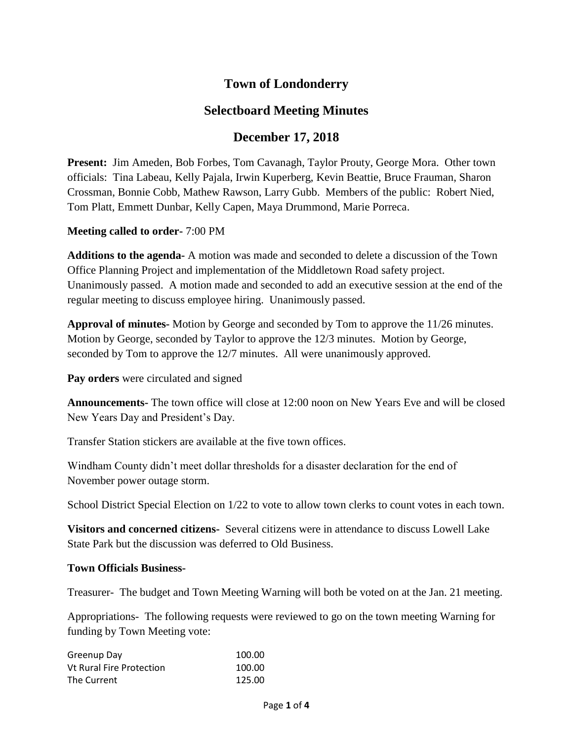# **Town of Londonderry**

## **Selectboard Meeting Minutes**

## **December 17, 2018**

**Present:** Jim Ameden, Bob Forbes, Tom Cavanagh, Taylor Prouty, George Mora. Other town officials: Tina Labeau, Kelly Pajala, Irwin Kuperberg, Kevin Beattie, Bruce Frauman, Sharon Crossman, Bonnie Cobb, Mathew Rawson, Larry Gubb. Members of the public: Robert Nied, Tom Platt, Emmett Dunbar, Kelly Capen, Maya Drummond, Marie Porreca.

**Meeting called to order-** 7:00 PM

**Additions to the agenda-** A motion was made and seconded to delete a discussion of the Town Office Planning Project and implementation of the Middletown Road safety project. Unanimously passed. A motion made and seconded to add an executive session at the end of the regular meeting to discuss employee hiring. Unanimously passed.

**Approval of minutes-** Motion by George and seconded by Tom to approve the 11/26 minutes. Motion by George, seconded by Taylor to approve the 12/3 minutes. Motion by George, seconded by Tom to approve the 12/7 minutes. All were unanimously approved.

**Pay orders** were circulated and signed

**Announcements-** The town office will close at 12:00 noon on New Years Eve and will be closed New Years Day and President's Day.

Transfer Station stickers are available at the five town offices.

Windham County didn't meet dollar thresholds for a disaster declaration for the end of November power outage storm.

School District Special Election on 1/22 to vote to allow town clerks to count votes in each town.

**Visitors and concerned citizens-** Several citizens were in attendance to discuss Lowell Lake State Park but the discussion was deferred to Old Business.

#### **Town Officials Business-**

Treasurer- The budget and Town Meeting Warning will both be voted on at the Jan. 21 meeting.

Appropriations- The following requests were reviewed to go on the town meeting Warning for funding by Town Meeting vote:

| Greenup Day                     | 100.00 |
|---------------------------------|--------|
| <b>Vt Rural Fire Protection</b> | 100.00 |
| The Current                     | 125.00 |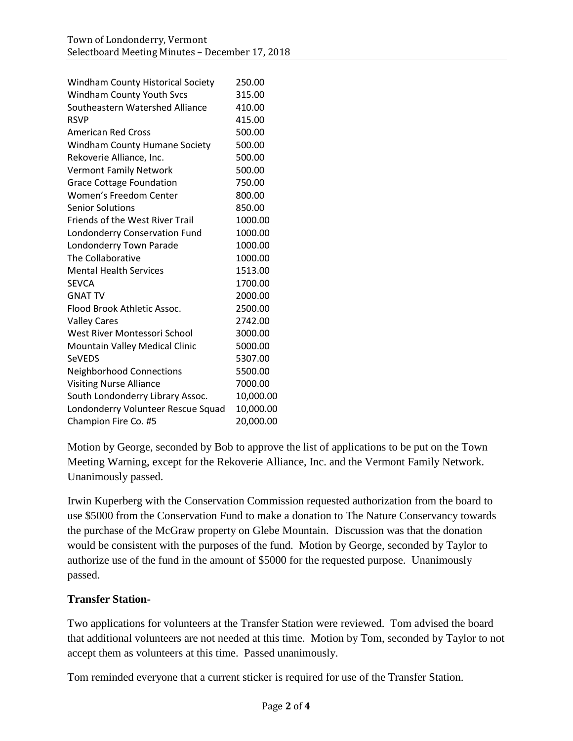| <b>Windham County Historical Society</b> | 250.00    |
|------------------------------------------|-----------|
| <b>Windham County Youth Svcs</b>         | 315.00    |
| Southeastern Watershed Alliance          | 410.00    |
| <b>RSVP</b>                              | 415.00    |
| <b>American Red Cross</b>                | 500.00    |
| Windham County Humane Society            | 500.00    |
| Rekoverie Alliance, Inc.                 | 500.00    |
| <b>Vermont Family Network</b>            | 500.00    |
| <b>Grace Cottage Foundation</b>          | 750.00    |
| Women's Freedom Center                   | 800.00    |
| <b>Senior Solutions</b>                  | 850.00    |
| <b>Friends of the West River Trail</b>   | 1000.00   |
| Londonderry Conservation Fund            | 1000.00   |
| Londonderry Town Parade                  | 1000.00   |
| The Collaborative                        | 1000.00   |
| <b>Mental Health Services</b>            | 1513.00   |
| <b>SEVCA</b>                             | 1700.00   |
| <b>GNAT TV</b>                           | 2000.00   |
| Flood Brook Athletic Assoc.              | 2500.00   |
| <b>Valley Cares</b>                      | 2742.00   |
| West River Montessori School             | 3000.00   |
| Mountain Valley Medical Clinic           | 5000.00   |
| <b>SeVEDS</b>                            | 5307.00   |
| <b>Neighborhood Connections</b>          | 5500.00   |
| <b>Visiting Nurse Alliance</b>           | 7000.00   |
| South Londonderry Library Assoc.         | 10,000.00 |
| Londonderry Volunteer Rescue Squad       | 10,000.00 |
| Champion Fire Co. #5                     | 20,000.00 |

Motion by George, seconded by Bob to approve the list of applications to be put on the Town Meeting Warning, except for the Rekoverie Alliance, Inc. and the Vermont Family Network. Unanimously passed.

Irwin Kuperberg with the Conservation Commission requested authorization from the board to use \$5000 from the Conservation Fund to make a donation to The Nature Conservancy towards the purchase of the McGraw property on Glebe Mountain. Discussion was that the donation would be consistent with the purposes of the fund. Motion by George, seconded by Taylor to authorize use of the fund in the amount of \$5000 for the requested purpose. Unanimously passed.

#### **Transfer Station-**

Two applications for volunteers at the Transfer Station were reviewed. Tom advised the board that additional volunteers are not needed at this time. Motion by Tom, seconded by Taylor to not accept them as volunteers at this time. Passed unanimously.

Tom reminded everyone that a current sticker is required for use of the Transfer Station.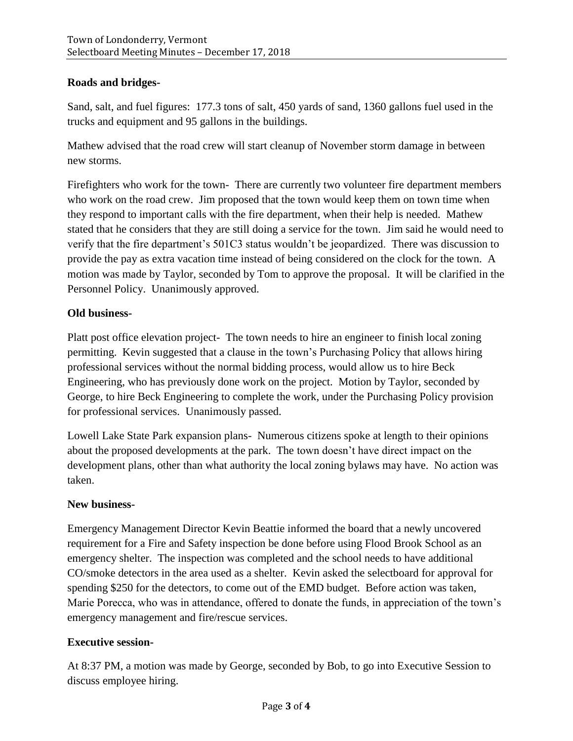## **Roads and bridges-**

Sand, salt, and fuel figures: 177.3 tons of salt, 450 yards of sand, 1360 gallons fuel used in the trucks and equipment and 95 gallons in the buildings.

Mathew advised that the road crew will start cleanup of November storm damage in between new storms.

Firefighters who work for the town- There are currently two volunteer fire department members who work on the road crew. Jim proposed that the town would keep them on town time when they respond to important calls with the fire department, when their help is needed. Mathew stated that he considers that they are still doing a service for the town. Jim said he would need to verify that the fire department's 501C3 status wouldn't be jeopardized. There was discussion to provide the pay as extra vacation time instead of being considered on the clock for the town. A motion was made by Taylor, seconded by Tom to approve the proposal. It will be clarified in the Personnel Policy. Unanimously approved.

## **Old business-**

Platt post office elevation project- The town needs to hire an engineer to finish local zoning permitting. Kevin suggested that a clause in the town's Purchasing Policy that allows hiring professional services without the normal bidding process, would allow us to hire Beck Engineering, who has previously done work on the project. Motion by Taylor, seconded by George, to hire Beck Engineering to complete the work, under the Purchasing Policy provision for professional services. Unanimously passed.

Lowell Lake State Park expansion plans- Numerous citizens spoke at length to their opinions about the proposed developments at the park. The town doesn't have direct impact on the development plans, other than what authority the local zoning bylaws may have. No action was taken.

#### **New business-**

Emergency Management Director Kevin Beattie informed the board that a newly uncovered requirement for a Fire and Safety inspection be done before using Flood Brook School as an emergency shelter. The inspection was completed and the school needs to have additional CO/smoke detectors in the area used as a shelter. Kevin asked the selectboard for approval for spending \$250 for the detectors, to come out of the EMD budget. Before action was taken, Marie Porecca, who was in attendance, offered to donate the funds, in appreciation of the town's emergency management and fire/rescue services.

## **Executive session-**

At 8:37 PM, a motion was made by George, seconded by Bob, to go into Executive Session to discuss employee hiring.